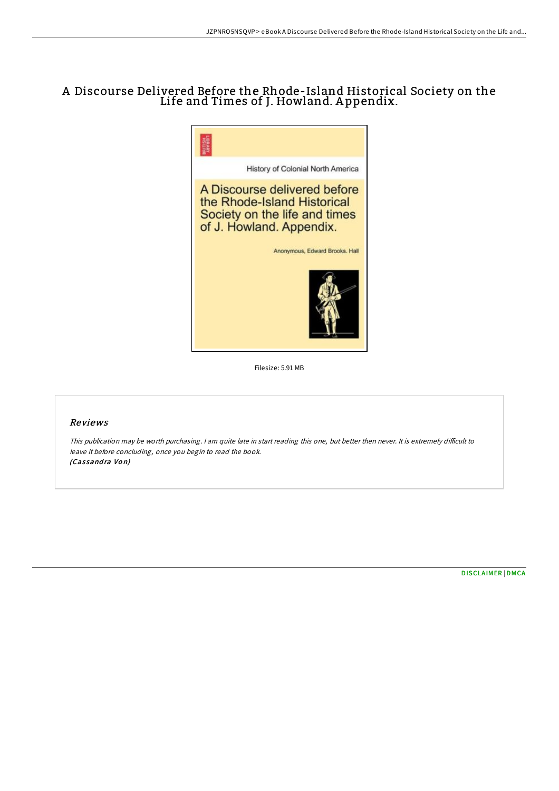# A Discourse Delivered Before the Rhode-Island Historical Society on the Life and Times of J. Howland. A ppendix.



Filesize: 5.91 MB

# Reviews

This publication may be worth purchasing. I am quite late in start reading this one, but better then never. It is extremely difficult to leave it before concluding, once you begin to read the book. (Cassandra Von)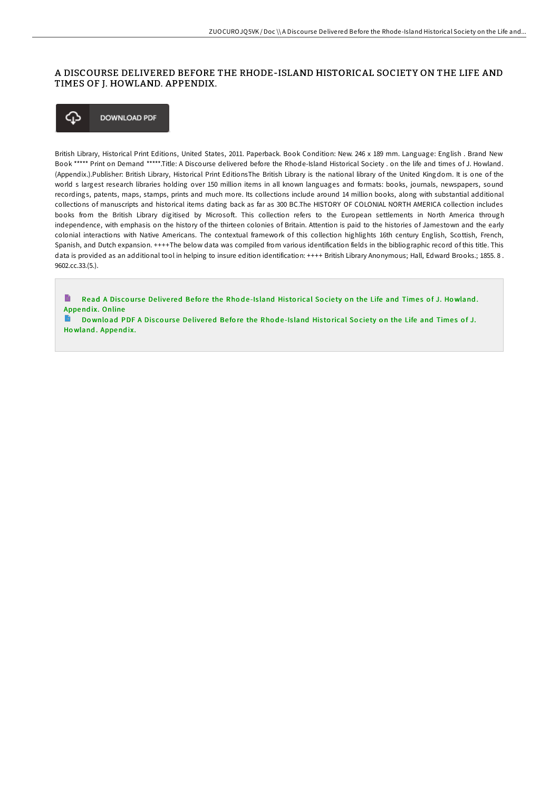## A DISCOURSE DELIVERED BEFORE THE RHODE-ISLAND HISTORICAL SOCIETY ON THE LIFE AND TIMES OF J. HOWLAND. APPENDIX.

#### **DOWNLOAD PDF** ঞ

British Library, Historical Print Editions, United States, 2011. Paperback. Book Condition: New. 246 x 189 mm. Language: English . Brand New Book \*\*\*\*\* Print on Demand \*\*\*\*\*.Title: A Discourse delivered before the Rhode-Island Historical Society . on the life and times of J. Howland. (Appendix.).Publisher: British Library, Historical Print EditionsThe British Library is the national library of the United Kingdom. It is one of the world s largest research libraries holding over 150 million items in all known languages and formats: books, journals, newspapers, sound recordings, patents, maps, stamps, prints and much more. Its collections include around 14 million books, along with substantial additional collections of manuscripts and historical items dating back as far as 300 BC.The HISTORY OF COLONIAL NORTH AMERICA collection includes books from the British Library digitised by Microsoft. This collection refers to the European settlements in North America through independence, with emphasis on the history of the thirteen colonies of Britain. Attention is paid to the histories of Jamestown and the early colonial interactions with Native Americans. The contextual framework of this collection highlights 16th century English, Scottish, French, Spanish, and Dutch expansion. ++++The below data was compiled from various identification fields in the bibliographic record of this title. This data is provided as an additional tool in helping to insure edition identification: ++++ British Library Anonymous; Hall, Edward Brooks.; 1855.8. 9602.cc.33.(5.).

B Read A Discourse Delivered Before the Rhode-Island Historical Society on the Life and Times of J. Howland. Annendix, Online

B Download PDF A Discourse Delivered Before the Rhode-Island Historical Society on the Life and Times of J. Howland. Appendix.